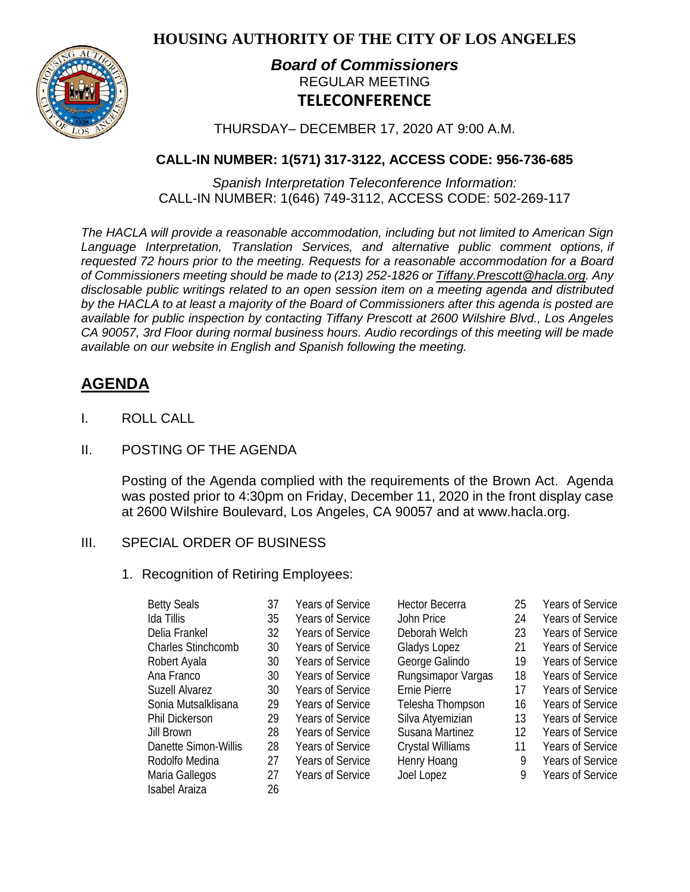**HOUSING AUTHORITY OF THE CITY OF LOS ANGELES**



## *Board of Commissioners* REGULAR MEETING **TELECONFERENCE**

THURSDAY– DECEMBER 17, 2020 AT 9:00 A.M.

## **CALL-IN NUMBER: 1(571) 317-3122, ACCESS CODE: 956-736-685**

*Spanish Interpretation Teleconference Information:* CALL-IN NUMBER: 1(646) 749-3112, ACCESS CODE: 502-269-117

*The HACLA will provide a reasonable accommodation, including but not limited to American Sign Language Interpretation, Translation Services, and alternative public comment options, if requested 72 hours prior to the meeting. Requests for a reasonable accommodation for a Board of Commissioners meeting should be made to (213) 252-1826 or Tiffany.Prescott@hacla.org. Any disclosable public writings related to an open session item on a meeting agenda and distributed by the HACLA to at least a majority of the Board of Commissioners after this agenda is posted are available for public inspection by contacting Tiffany Prescott at 2600 Wilshire Blvd., Los Angeles CA 90057, 3rd Floor during normal business hours. Audio recordings of this meeting will be made available on our website in English and Spanish following the meeting.*

# **AGENDA**

- I. ROLL CALL
- II. POSTING OF THE AGENDA

Posting of the Agenda complied with the requirements of the Brown Act. Agenda was posted prior to 4:30pm on Friday, December 11, 2020 in the front display case at 2600 Wilshire Boulevard, Los Angeles, CA 90057 and at [www.hacla.org.](about:blank)

## III. SPECIAL ORDER OF BUSINESS

## 1. Recognition of Retiring Employees:

| <b>Betty Seals</b>        | 37 | <b>Years of Service</b> | <b>Hector Becerra</b>   | 25 | <b>Years of Service</b> |
|---------------------------|----|-------------------------|-------------------------|----|-------------------------|
| Ida Tillis                | 35 | <b>Years of Service</b> | John Price              | 24 | <b>Years of Service</b> |
| Delia Frankel             | 32 | <b>Years of Service</b> | Deborah Welch           | 23 | <b>Years of Service</b> |
| <b>Charles Stinchcomb</b> | 30 | <b>Years of Service</b> | Gladys Lopez            | 21 | <b>Years of Service</b> |
| Robert Ayala              | 30 | <b>Years of Service</b> | George Galindo          | 19 | <b>Years of Service</b> |
| Ana Franco                | 30 | <b>Years of Service</b> | Rungsimapor Vargas      | 18 | <b>Years of Service</b> |
| <b>Suzell Alvarez</b>     | 30 | <b>Years of Service</b> | Ernie Pierre            | 17 | <b>Years of Service</b> |
| Sonia Mutsalklisana       | 29 | <b>Years of Service</b> | Telesha Thompson        | 16 | <b>Years of Service</b> |
| <b>Phil Dickerson</b>     | 29 | <b>Years of Service</b> | Silva Atyemizian        | 13 | <b>Years of Service</b> |
| Jill Brown                | 28 | <b>Years of Service</b> | Susana Martinez         | 12 | <b>Years of Service</b> |
| Danette Simon-Willis      | 28 | <b>Years of Service</b> | <b>Crystal Williams</b> | 11 | <b>Years of Service</b> |
| Rodolfo Medina            | 27 | <b>Years of Service</b> | Henry Hoang             | 9  | <b>Years of Service</b> |
| Maria Gallegos            | 27 | <b>Years of Service</b> | Joel Lopez              | 9  | <b>Years of Service</b> |
| <b>Isabel Araiza</b>      | 26 |                         |                         |    |                         |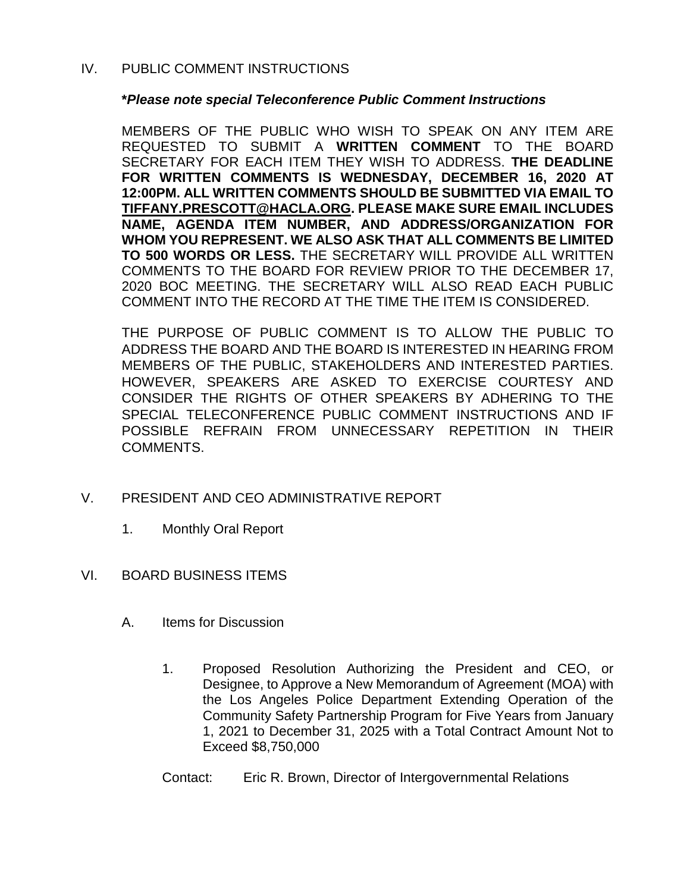#### IV. PUBLIC COMMENT INSTRUCTIONS

#### **\****Please note special Teleconference Public Comment Instructions*

MEMBERS OF THE PUBLIC WHO WISH TO SPEAK ON ANY ITEM ARE REQUESTED TO SUBMIT A **WRITTEN COMMENT** TO THE BOARD SECRETARY FOR EACH ITEM THEY WISH TO ADDRESS. **THE DEADLINE FOR WRITTEN COMMENTS IS WEDNESDAY, DECEMBER 16, 2020 AT 12:00PM. ALL WRITTEN COMMENTS SHOULD BE SUBMITTED VIA EMAIL TO [TIFFANY.PRESCOTT@HACLA.ORG.](about:blank) PLEASE MAKE SURE EMAIL INCLUDES NAME, AGENDA ITEM NUMBER, AND ADDRESS/ORGANIZATION FOR WHOM YOU REPRESENT. WE ALSO ASK THAT ALL COMMENTS BE LIMITED TO 500 WORDS OR LESS.** THE SECRETARY WILL PROVIDE ALL WRITTEN COMMENTS TO THE BOARD FOR REVIEW PRIOR TO THE DECEMBER 17, 2020 BOC MEETING. THE SECRETARY WILL ALSO READ EACH PUBLIC COMMENT INTO THE RECORD AT THE TIME THE ITEM IS CONSIDERED.

THE PURPOSE OF PUBLIC COMMENT IS TO ALLOW THE PUBLIC TO ADDRESS THE BOARD AND THE BOARD IS INTERESTED IN HEARING FROM MEMBERS OF THE PUBLIC, STAKEHOLDERS AND INTERESTED PARTIES. HOWEVER, SPEAKERS ARE ASKED TO EXERCISE COURTESY AND CONSIDER THE RIGHTS OF OTHER SPEAKERS BY ADHERING TO THE SPECIAL TELECONFERENCE PUBLIC COMMENT INSTRUCTIONS AND IF POSSIBLE REFRAIN FROM UNNECESSARY REPETITION IN THEIR COMMENTS.

## V. PRESIDENT AND CEO ADMINISTRATIVE REPORT

- 1. Monthly Oral Report
- VI. BOARD BUSINESS ITEMS
	- A. Items for Discussion
		- 1. Proposed Resolution Authorizing the President and CEO, or Designee, to Approve a New Memorandum of Agreement (MOA) with the Los Angeles Police Department Extending Operation of the Community Safety Partnership Program for Five Years from January 1, 2021 to December 31, 2025 with a Total Contract Amount Not to Exceed \$8,750,000
		- Contact: Eric R. Brown, Director of Intergovernmental Relations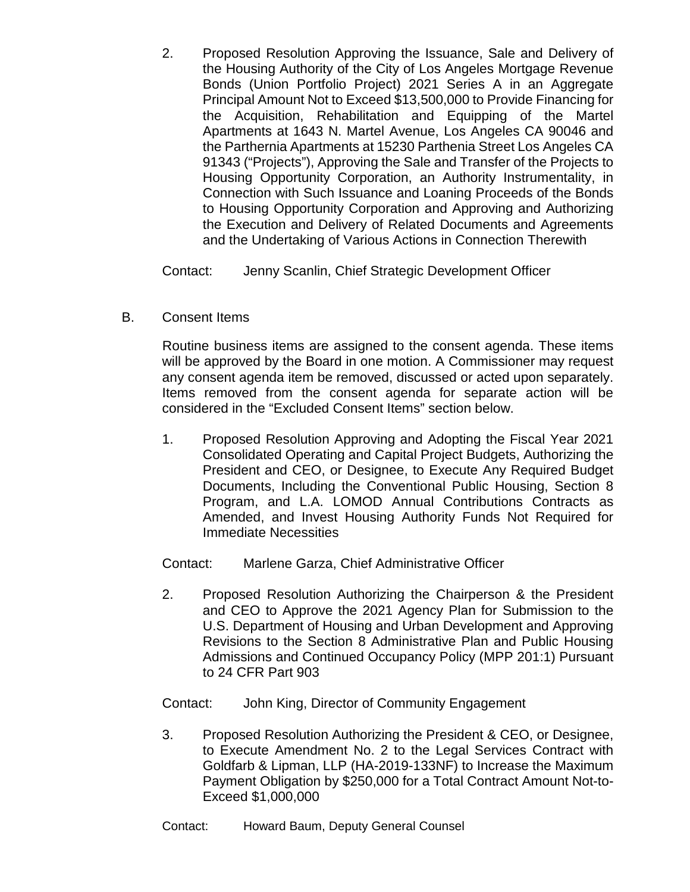2. Proposed Resolution Approving the Issuance, Sale and Delivery of the Housing Authority of the City of Los Angeles Mortgage Revenue Bonds (Union Portfolio Project) 2021 Series A in an Aggregate Principal Amount Not to Exceed \$13,500,000 to Provide Financing for the Acquisition, Rehabilitation and Equipping of the Martel Apartments at 1643 N. Martel Avenue, Los Angeles CA 90046 and the Parthernia Apartments at 15230 Parthenia Street Los Angeles CA 91343 ("Projects"), Approving the Sale and Transfer of the Projects to Housing Opportunity Corporation, an Authority Instrumentality, in Connection with Such Issuance and Loaning Proceeds of the Bonds to Housing Opportunity Corporation and Approving and Authorizing the Execution and Delivery of Related Documents and Agreements and the Undertaking of Various Actions in Connection Therewith

Contact: Jenny Scanlin, Chief Strategic Development Officer

B. Consent Items

Routine business items are assigned to the consent agenda. These items will be approved by the Board in one motion. A Commissioner may request any consent agenda item be removed, discussed or acted upon separately. Items removed from the consent agenda for separate action will be considered in the "Excluded Consent Items" section below.

1. Proposed Resolution Approving and Adopting the Fiscal Year 2021 Consolidated Operating and Capital Project Budgets, Authorizing the President and CEO, or Designee, to Execute Any Required Budget Documents, Including the Conventional Public Housing, Section 8 Program, and L.A. LOMOD Annual Contributions Contracts as Amended, and Invest Housing Authority Funds Not Required for Immediate Necessities

Contact: Marlene Garza, Chief Administrative Officer

2. Proposed Resolution Authorizing the Chairperson & the President and CEO to Approve the 2021 Agency Plan for Submission to the U.S. Department of Housing and Urban Development and Approving Revisions to the Section 8 Administrative Plan and Public Housing Admissions and Continued Occupancy Policy (MPP 201:1) Pursuant to 24 CFR Part 903

Contact: John King, Director of Community Engagement

3. Proposed Resolution Authorizing the President & CEO, or Designee, to Execute Amendment No. 2 to the Legal Services Contract with Goldfarb & Lipman, LLP (HA-2019-133NF) to Increase the Maximum Payment Obligation by \$250,000 for a Total Contract Amount Not-to-Exceed \$1,000,000